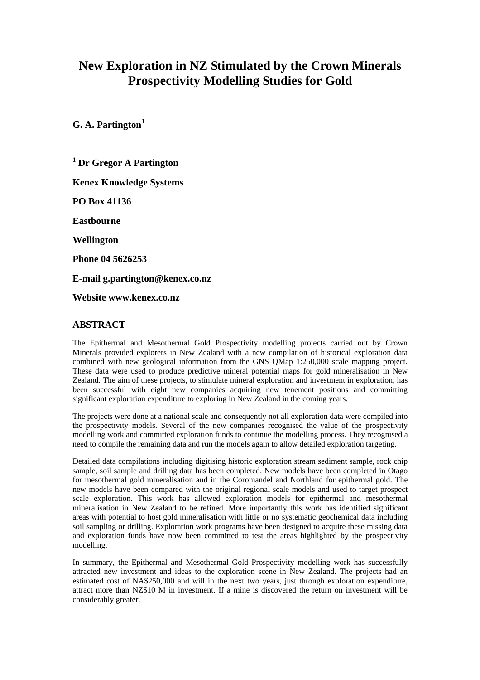# **New Exploration in NZ Stimulated by the Crown Minerals Prospectivity Modelling Studies for Gold**

**G. A. Partington1** 

**1 Dr Gregor A Partington Kenex Knowledge Systems PO Box 41136 Eastbourne Wellington Phone 04 5626253 E-mail g.partington@kenex.co.nz Website www.kenex.co.nz** 

#### **ABSTRACT**

The Epithermal and Mesothermal Gold Prospectivity modelling projects carried out by Crown Minerals provided explorers in New Zealand with a new compilation of historical exploration data combined with new geological information from the GNS QMap 1:250,000 scale mapping project. These data were used to produce predictive mineral potential maps for gold mineralisation in New Zealand. The aim of these projects, to stimulate mineral exploration and investment in exploration, has been successful with eight new companies acquiring new tenement positions and committing significant exploration expenditure to exploring in New Zealand in the coming years.

The projects were done at a national scale and consequently not all exploration data were compiled into the prospectivity models. Several of the new companies recognised the value of the prospectivity modelling work and committed exploration funds to continue the modelling process. They recognised a need to compile the remaining data and run the models again to allow detailed exploration targeting.

Detailed data compilations including digitising historic exploration stream sediment sample, rock chip sample, soil sample and drilling data has been completed. New models have been completed in Otago for mesothermal gold mineralisation and in the Coromandel and Northland for epithermal gold. The new models have been compared with the original regional scale models and used to target prospect scale exploration. This work has allowed exploration models for epithermal and mesothermal mineralisation in New Zealand to be refined. More importantly this work has identified significant areas with potential to host gold mineralisation with little or no systematic geochemical data including soil sampling or drilling. Exploration work programs have been designed to acquire these missing data and exploration funds have now been committed to test the areas highlighted by the prospectivity modelling.

In summary, the Epithermal and Mesothermal Gold Prospectivity modelling work has successfully attracted new investment and ideas to the exploration scene in New Zealand. The projects had an estimated cost of NA\$250,000 and will in the next two years, just through exploration expenditure, attract more than NZ\$10 M in investment. If a mine is discovered the return on investment will be considerably greater.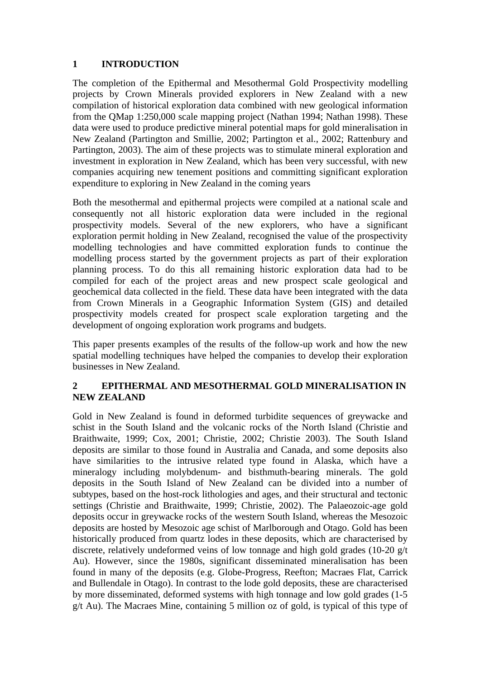# **1 INTRODUCTION**

The completion of the Epithermal and Mesothermal Gold Prospectivity modelling projects by Crown Minerals provided explorers in New Zealand with a new compilation of historical exploration data combined with new geological information from the QMap 1:250,000 scale mapping project (Nathan 1994; Nathan 1998). These data were used to produce predictive mineral potential maps for gold mineralisation in New Zealand (Partington and Smillie, 2002; Partington et al., 2002; Rattenbury and Partington, 2003). The aim of these projects was to stimulate mineral exploration and investment in exploration in New Zealand, which has been very successful, with new companies acquiring new tenement positions and committing significant exploration expenditure to exploring in New Zealand in the coming years

Both the mesothermal and epithermal projects were compiled at a national scale and consequently not all historic exploration data were included in the regional prospectivity models. Several of the new explorers, who have a significant exploration permit holding in New Zealand, recognised the value of the prospectivity modelling technologies and have committed exploration funds to continue the modelling process started by the government projects as part of their exploration planning process. To do this all remaining historic exploration data had to be compiled for each of the project areas and new prospect scale geological and geochemical data collected in the field. These data have been integrated with the data from Crown Minerals in a Geographic Information System (GIS) and detailed prospectivity models created for prospect scale exploration targeting and the development of ongoing exploration work programs and budgets.

This paper presents examples of the results of the follow-up work and how the new spatial modelling techniques have helped the companies to develop their exploration businesses in New Zealand.

#### **2 EPITHERMAL AND MESOTHERMAL GOLD MINERALISATION IN NEW ZEALAND**

Gold in New Zealand is found in deformed turbidite sequences of greywacke and schist in the South Island and the volcanic rocks of the North Island (Christie and Braithwaite, 1999; Cox, 2001; Christie, 2002; Christie 2003). The South Island deposits are similar to those found in Australia and Canada, and some deposits also have similarities to the intrusive related type found in Alaska, which have a mineralogy including molybdenum- and bisthmuth-bearing minerals. The gold deposits in the South Island of New Zealand can be divided into a number of subtypes, based on the host-rock lithologies and ages, and their structural and tectonic settings (Christie and Braithwaite, 1999; Christie, 2002). The Palaeozoic-age gold deposits occur in greywacke rocks of the western South Island, whereas the Mesozoic deposits are hosted by Mesozoic age schist of Marlborough and Otago. Gold has been historically produced from quartz lodes in these deposits, which are characterised by discrete, relatively undeformed veins of low tonnage and high gold grades (10-20 g/t Au). However, since the 1980s, significant disseminated mineralisation has been found in many of the deposits (e.g. Globe-Progress, Reefton; Macraes Flat, Carrick and Bullendale in Otago). In contrast to the lode gold deposits, these are characterised by more disseminated, deformed systems with high tonnage and low gold grades (1-5 g/t Au). The Macraes Mine, containing 5 million oz of gold, is typical of this type of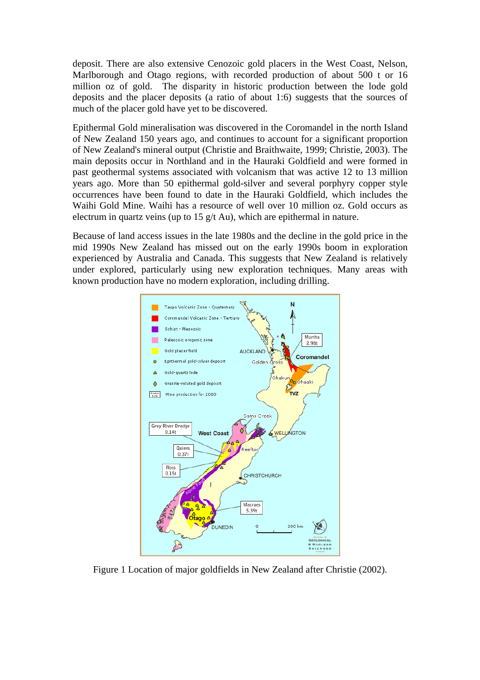deposit. There are also extensive Cenozoic gold placers in the West Coast, Nelson, Marlborough and Otago regions, with recorded production of about 500 t or 16 million oz of gold. The disparity in historic production between the lode gold deposits and the placer deposits (a ratio of about 1:6) suggests that the sources of much of the placer gold have yet to be discovered.

Epithermal Gold mineralisation was discovered in the Coromandel in the north Island of New Zealand 150 years ago, and continues to account for a significant proportion of New Zealand's mineral output (Christie and Braithwaite, 1999; Christie, 2003). The main deposits occur in Northland and in the Hauraki Goldfield and were formed in past geothermal systems associated with volcanism that was active 12 to 13 million years ago. More than 50 epithermal gold-silver and several porphyry copper style occurrences have been found to date in the Hauraki Goldfield, which includes the Waihi Gold Mine. Waihi has a resource of well over 10 million oz. Gold occurs as electrum in quartz veins (up to 15  $g/t$  Au), which are epithermal in nature.

Because of land access issues in the late 1980s and the decline in the gold price in the mid 1990s New Zealand has missed out on the early 1990s boom in exploration experienced by Australia and Canada. This suggests that New Zealand is relatively under explored, particularly using new exploration techniques. Many areas with known production have no modern exploration, including drilling.



Figure 1 Location of major goldfields in New Zealand after Christie (2002).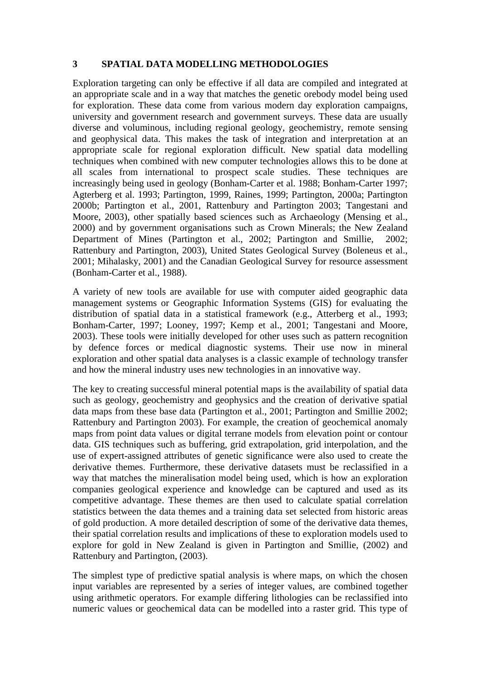#### **3 SPATIAL DATA MODELLING METHODOLOGIES**

Exploration targeting can only be effective if all data are compiled and integrated at an appropriate scale and in a way that matches the genetic orebody model being used for exploration. These data come from various modern day exploration campaigns, university and government research and government surveys. These data are usually diverse and voluminous, including regional geology, geochemistry, remote sensing and geophysical data. This makes the task of integration and interpretation at an appropriate scale for regional exploration difficult. New spatial data modelling techniques when combined with new computer technologies allows this to be done at all scales from international to prospect scale studies. These techniques are increasingly being used in geology (Bonham-Carter et al. 1988; Bonham-Carter 1997; Agterberg et al. 1993; Partington, 1999, Raines, 1999; Partington, 2000a; Partington 2000b; Partington et al., 2001, Rattenbury and Partington 2003; Tangestani and Moore, 2003), other spatially based sciences such as Archaeology (Mensing et al., 2000) and by government organisations such as Crown Minerals; the New Zealand Department of Mines (Partington et al., 2002; Partington and Smillie, 2002; Rattenbury and Partington, 2003), United States Geological Survey (Boleneus et al., 2001; Mihalasky, 2001) and the Canadian Geological Survey for resource assessment (Bonham-Carter et al., 1988).

A variety of new tools are available for use with computer aided geographic data management systems or Geographic Information Systems (GIS) for evaluating the distribution of spatial data in a statistical framework (e.g., Atterberg et al., 1993; Bonham-Carter, 1997; Looney, 1997; Kemp et al., 2001; Tangestani and Moore, 2003). These tools were initially developed for other uses such as pattern recognition by defence forces or medical diagnostic systems. Their use now in mineral exploration and other spatial data analyses is a classic example of technology transfer and how the mineral industry uses new technologies in an innovative way.

The key to creating successful mineral potential maps is the availability of spatial data such as geology, geochemistry and geophysics and the creation of derivative spatial data maps from these base data (Partington et al., 2001; Partington and Smillie 2002; Rattenbury and Partington 2003). For example, the creation of geochemical anomaly maps from point data values or digital terrane models from elevation point or contour data. GIS techniques such as buffering, grid extrapolation, grid interpolation, and the use of expert-assigned attributes of genetic significance were also used to create the derivative themes. Furthermore, these derivative datasets must be reclassified in a way that matches the mineralisation model being used, which is how an exploration companies geological experience and knowledge can be captured and used as its competitive advantage. These themes are then used to calculate spatial correlation statistics between the data themes and a training data set selected from historic areas of gold production. A more detailed description of some of the derivative data themes, their spatial correlation results and implications of these to exploration models used to explore for gold in New Zealand is given in Partington and Smillie, (2002) and Rattenbury and Partington, (2003).

The simplest type of predictive spatial analysis is where maps, on which the chosen input variables are represented by a series of integer values, are combined together using arithmetic operators. For example differing lithologies can be reclassified into numeric values or geochemical data can be modelled into a raster grid. This type of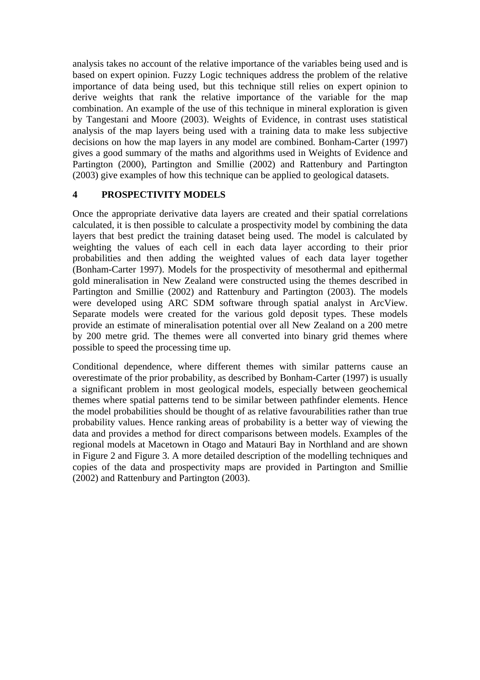analysis takes no account of the relative importance of the variables being used and is based on expert opinion. Fuzzy Logic techniques address the problem of the relative importance of data being used, but this technique still relies on expert opinion to derive weights that rank the relative importance of the variable for the map combination. An example of the use of this technique in mineral exploration is given by Tangestani and Moore (2003). Weights of Evidence, in contrast uses statistical analysis of the map layers being used with a training data to make less subjective decisions on how the map layers in any model are combined. Bonham-Carter (1997) gives a good summary of the maths and algorithms used in Weights of Evidence and Partington (2000), Partington and Smillie (2002) and Rattenbury and Partington (2003) give examples of how this technique can be applied to geological datasets.

## **4 PROSPECTIVITY MODELS**

Once the appropriate derivative data layers are created and their spatial correlations calculated, it is then possible to calculate a prospectivity model by combining the data layers that best predict the training dataset being used. The model is calculated by weighting the values of each cell in each data layer according to their prior probabilities and then adding the weighted values of each data layer together (Bonham-Carter 1997). Models for the prospectivity of mesothermal and epithermal gold mineralisation in New Zealand were constructed using the themes described in Partington and Smillie (2002) and Rattenbury and Partington (2003). The models were developed using ARC SDM software through spatial analyst in ArcView. Separate models were created for the various gold deposit types. These models provide an estimate of mineralisation potential over all New Zealand on a 200 metre by 200 metre grid. The themes were all converted into binary grid themes where possible to speed the processing time up.

Conditional dependence, where different themes with similar patterns cause an overestimate of the prior probability, as described by Bonham-Carter (1997) is usually a significant problem in most geological models, especially between geochemical themes where spatial patterns tend to be similar between pathfinder elements. Hence the model probabilities should be thought of as relative favourabilities rather than true probability values. Hence ranking areas of probability is a better way of viewing the data and provides a method for direct comparisons between models. Examples of the regional models at Macetown in Otago and Matauri Bay in Northland and are shown in Figure 2 and Figure 3. A more detailed description of the modelling techniques and copies of the data and prospectivity maps are provided in Partington and Smillie (2002) and Rattenbury and Partington (2003).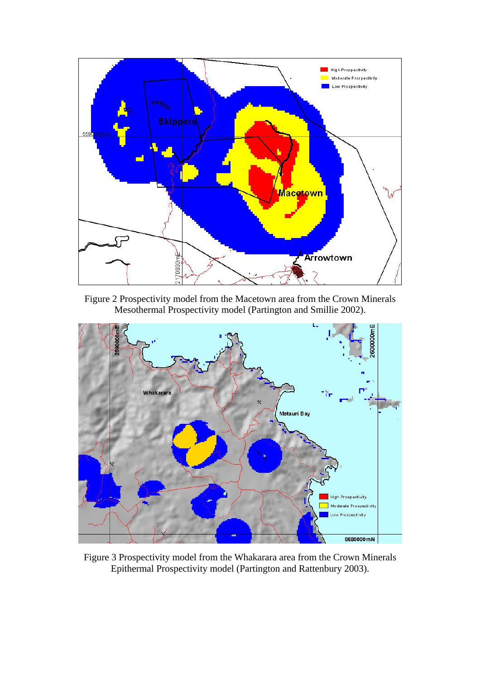

Figure 2 Prospectivity model from the Macetown area from the Crown Minerals Mesothermal Prospectivity model (Partington and Smillie 2002).



Figure 3 Prospectivity model from the Whakarara area from the Crown Minerals Epithermal Prospectivity model (Partington and Rattenbury 2003).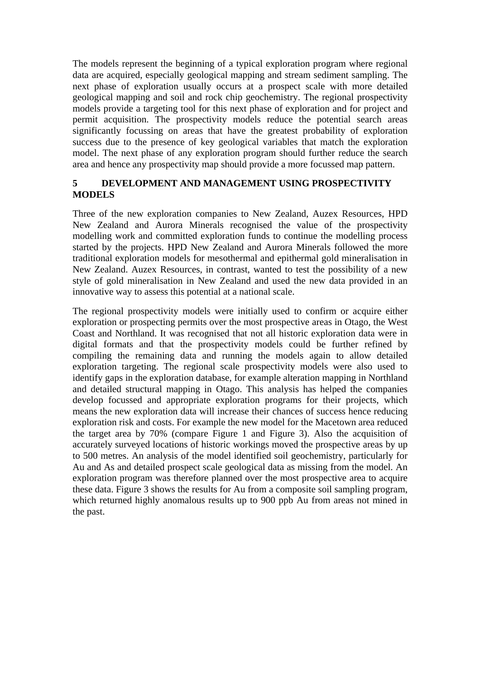The models represent the beginning of a typical exploration program where regional data are acquired, especially geological mapping and stream sediment sampling. The next phase of exploration usually occurs at a prospect scale with more detailed geological mapping and soil and rock chip geochemistry. The regional prospectivity models provide a targeting tool for this next phase of exploration and for project and permit acquisition. The prospectivity models reduce the potential search areas significantly focussing on areas that have the greatest probability of exploration success due to the presence of key geological variables that match the exploration model. The next phase of any exploration program should further reduce the search area and hence any prospectivity map should provide a more focussed map pattern.

# **5 DEVELOPMENT AND MANAGEMENT USING PROSPECTIVITY MODELS**

Three of the new exploration companies to New Zealand, Auzex Resources, HPD New Zealand and Aurora Minerals recognised the value of the prospectivity modelling work and committed exploration funds to continue the modelling process started by the projects. HPD New Zealand and Aurora Minerals followed the more traditional exploration models for mesothermal and epithermal gold mineralisation in New Zealand. Auzex Resources, in contrast, wanted to test the possibility of a new style of gold mineralisation in New Zealand and used the new data provided in an innovative way to assess this potential at a national scale.

The regional prospectivity models were initially used to confirm or acquire either exploration or prospecting permits over the most prospective areas in Otago, the West Coast and Northland. It was recognised that not all historic exploration data were in digital formats and that the prospectivity models could be further refined by compiling the remaining data and running the models again to allow detailed exploration targeting. The regional scale prospectivity models were also used to identify gaps in the exploration database, for example alteration mapping in Northland and detailed structural mapping in Otago. This analysis has helped the companies develop focussed and appropriate exploration programs for their projects, which means the new exploration data will increase their chances of success hence reducing exploration risk and costs. For example the new model for the Macetown area reduced the target area by 70% (compare Figure 1 and Figure 3). Also the acquisition of accurately surveyed locations of historic workings moved the prospective areas by up to 500 metres. An analysis of the model identified soil geochemistry, particularly for Au and As and detailed prospect scale geological data as missing from the model. An exploration program was therefore planned over the most prospective area to acquire these data. Figure 3 shows the results for Au from a composite soil sampling program, which returned highly anomalous results up to 900 ppb Au from areas not mined in the past.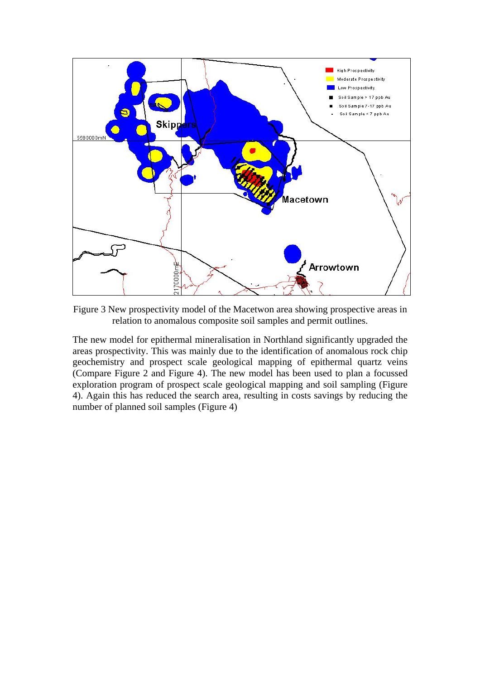

Figure 3 New prospectivity model of the Macetwon area showing prospective areas in relation to anomalous composite soil samples and permit outlines.

The new model for epithermal mineralisation in Northland significantly upgraded the areas prospectivity. This was mainly due to the identification of anomalous rock chip geochemistry and prospect scale geological mapping of epithermal quartz veins (Compare Figure 2 and Figure 4). The new model has been used to plan a focussed exploration program of prospect scale geological mapping and soil sampling (Figure 4). Again this has reduced the search area, resulting in costs savings by reducing the number of planned soil samples (Figure 4)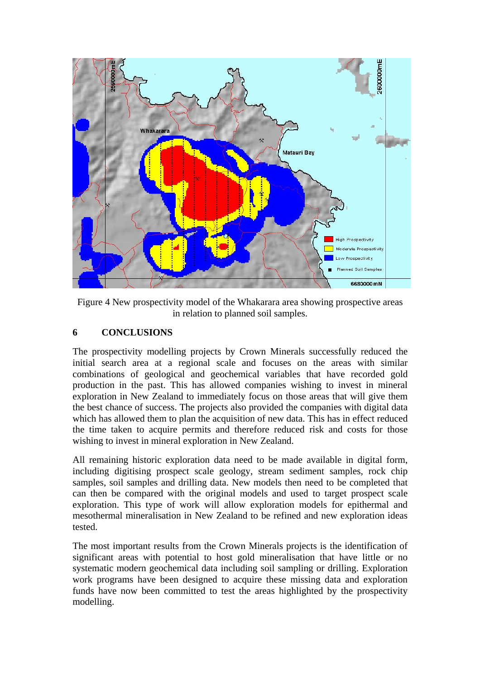

Figure 4 New prospectivity model of the Whakarara area showing prospective areas in relation to planned soil samples.

# **6 CONCLUSIONS**

The prospectivity modelling projects by Crown Minerals successfully reduced the initial search area at a regional scale and focuses on the areas with similar combinations of geological and geochemical variables that have recorded gold production in the past. This has allowed companies wishing to invest in mineral exploration in New Zealand to immediately focus on those areas that will give them the best chance of success. The projects also provided the companies with digital data which has allowed them to plan the acquisition of new data. This has in effect reduced the time taken to acquire permits and therefore reduced risk and costs for those wishing to invest in mineral exploration in New Zealand.

All remaining historic exploration data need to be made available in digital form, including digitising prospect scale geology, stream sediment samples, rock chip samples, soil samples and drilling data. New models then need to be completed that can then be compared with the original models and used to target prospect scale exploration. This type of work will allow exploration models for epithermal and mesothermal mineralisation in New Zealand to be refined and new exploration ideas tested.

The most important results from the Crown Minerals projects is the identification of significant areas with potential to host gold mineralisation that have little or no systematic modern geochemical data including soil sampling or drilling. Exploration work programs have been designed to acquire these missing data and exploration funds have now been committed to test the areas highlighted by the prospectivity modelling.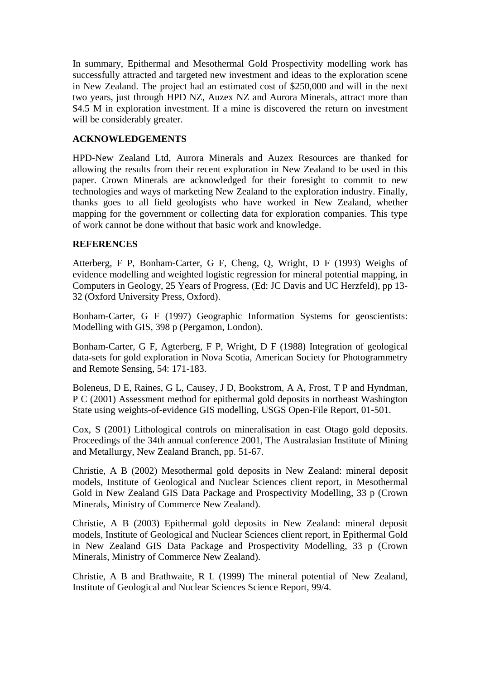In summary, Epithermal and Mesothermal Gold Prospectivity modelling work has successfully attracted and targeted new investment and ideas to the exploration scene in New Zealand. The project had an estimated cost of \$250,000 and will in the next two years, just through HPD NZ, Auzex NZ and Aurora Minerals, attract more than \$4.5 M in exploration investment. If a mine is discovered the return on investment will be considerably greater.

## **ACKNOWLEDGEMENTS**

HPD-New Zealand Ltd, Aurora Minerals and Auzex Resources are thanked for allowing the results from their recent exploration in New Zealand to be used in this paper. Crown Minerals are acknowledged for their foresight to commit to new technologies and ways of marketing New Zealand to the exploration industry. Finally, thanks goes to all field geologists who have worked in New Zealand, whether mapping for the government or collecting data for exploration companies. This type of work cannot be done without that basic work and knowledge.

## **REFERENCES**

Atterberg, F P, Bonham-Carter, G F, Cheng, Q, Wright, D F (1993) Weighs of evidence modelling and weighted logistic regression for mineral potential mapping, in Computers in Geology, 25 Years of Progress, (Ed: JC Davis and UC Herzfeld), pp 13- 32 (Oxford University Press, Oxford).

Bonham-Carter, G F (1997) Geographic Information Systems for geoscientists: Modelling with GIS, 398 p (Pergamon, London).

Bonham-Carter, G F, Agterberg, F P, Wright, D F (1988) Integration of geological data-sets for gold exploration in Nova Scotia, American Society for Photogrammetry and Remote Sensing, 54: 171-183.

Boleneus, D E, Raines, G L, Causey, J D, Bookstrom, A A, Frost, T P and Hyndman, P C (2001) Assessment method for epithermal gold deposits in northeast Washington State using weights-of-evidence GIS modelling, USGS Open-File Report, 01-501.

Cox, S (2001) Lithological controls on mineralisation in east Otago gold deposits. Proceedings of the 34th annual conference 2001, The Australasian Institute of Mining and Metallurgy, New Zealand Branch, pp. 51-67.

Christie, A B (2002) Mesothermal gold deposits in New Zealand: mineral deposit models, Institute of Geological and Nuclear Sciences client report, in Mesothermal Gold in New Zealand GIS Data Package and Prospectivity Modelling, 33 p (Crown Minerals, Ministry of Commerce New Zealand).

Christie, A B (2003) Epithermal gold deposits in New Zealand: mineral deposit models, Institute of Geological and Nuclear Sciences client report, in Epithermal Gold in New Zealand GIS Data Package and Prospectivity Modelling, 33 p (Crown Minerals, Ministry of Commerce New Zealand).

Christie, A B and Brathwaite, R L (1999) The mineral potential of New Zealand, Institute of Geological and Nuclear Sciences Science Report, 99/4.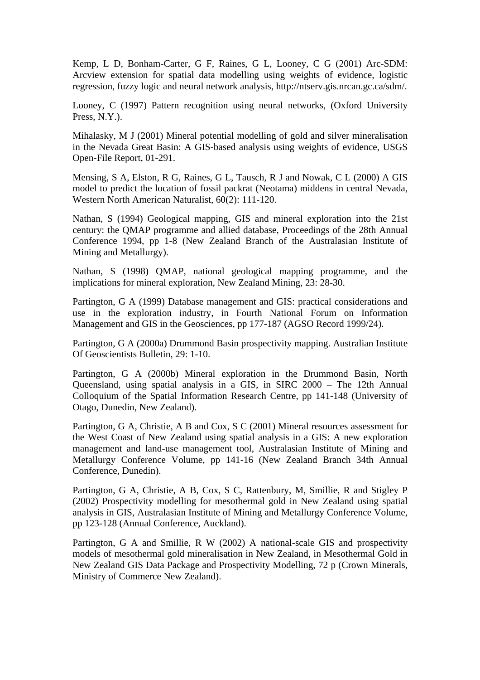Kemp, L D, Bonham-Carter, G F, Raines, G L, Looney, C G (2001) Arc-SDM: Arcview extension for spatial data modelling using weights of evidence, logistic regression, fuzzy logic and neural network analysis, http://ntserv.gis.nrcan.gc.ca/sdm/.

Looney, C (1997) Pattern recognition using neural networks, (Oxford University Press, N.Y.).

Mihalasky, M J (2001) Mineral potential modelling of gold and silver mineralisation in the Nevada Great Basin: A GIS-based analysis using weights of evidence, USGS Open-File Report, 01-291.

Mensing, S A, Elston, R G, Raines, G L, Tausch, R J and Nowak, C L (2000) A GIS model to predict the location of fossil packrat (Neotama) middens in central Nevada, Western North American Naturalist, 60(2): 111-120.

Nathan, S (1994) Geological mapping, GIS and mineral exploration into the 21st century: the QMAP programme and allied database, Proceedings of the 28th Annual Conference 1994, pp 1-8 (New Zealand Branch of the Australasian Institute of Mining and Metallurgy).

Nathan, S (1998) QMAP, national geological mapping programme, and the implications for mineral exploration, New Zealand Mining, 23: 28-30.

Partington, G A (1999) Database management and GIS: practical considerations and use in the exploration industry, in Fourth National Forum on Information Management and GIS in the Geosciences, pp 177-187 (AGSO Record 1999/24).

Partington, G A (2000a) Drummond Basin prospectivity mapping. Australian Institute Of Geoscientists Bulletin, 29: 1-10.

Partington, G A (2000b) Mineral exploration in the Drummond Basin, North Queensland, using spatial analysis in a GIS, in SIRC 2000 – The 12th Annual Colloquium of the Spatial Information Research Centre, pp 141-148 (University of Otago, Dunedin, New Zealand).

Partington, G A, Christie, A B and Cox, S C (2001) Mineral resources assessment for the West Coast of New Zealand using spatial analysis in a GIS: A new exploration management and land-use management tool, Australasian Institute of Mining and Metallurgy Conference Volume, pp 141-16 (New Zealand Branch 34th Annual Conference, Dunedin).

Partington, G A, Christie, A B, Cox, S C, Rattenbury, M, Smillie, R and Stigley P (2002) Prospectivity modelling for mesothermal gold in New Zealand using spatial analysis in GIS, Australasian Institute of Mining and Metallurgy Conference Volume, pp 123-128 (Annual Conference, Auckland).

Partington, G A and Smillie, R W (2002) A national-scale GIS and prospectivity models of mesothermal gold mineralisation in New Zealand, in Mesothermal Gold in New Zealand GIS Data Package and Prospectivity Modelling, 72 p (Crown Minerals, Ministry of Commerce New Zealand).